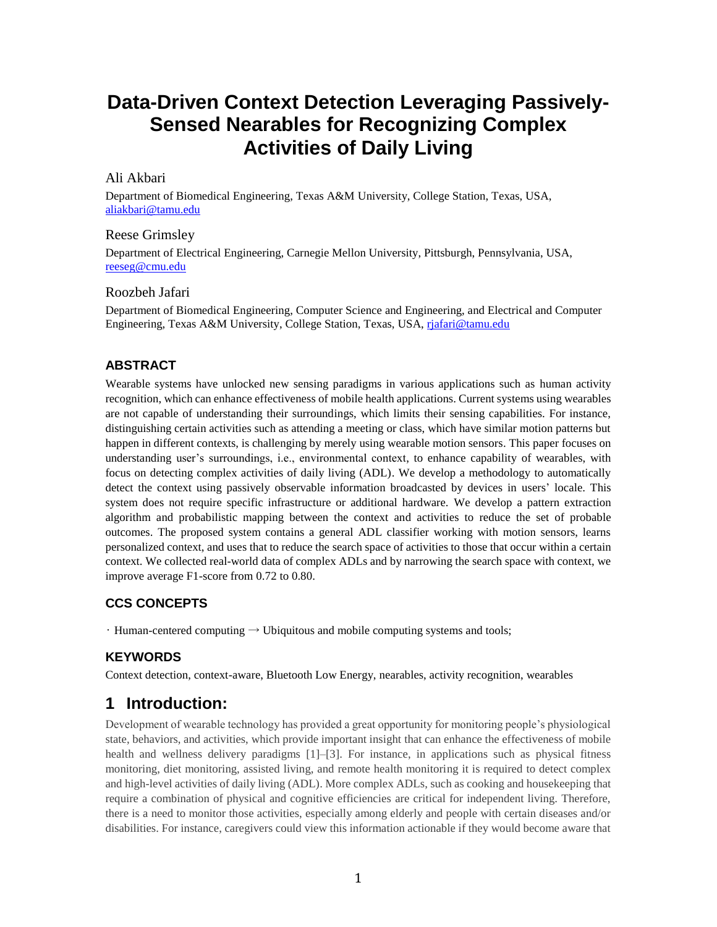# **Data-Driven Context Detection Leveraging Passively-Sensed Nearables for Recognizing Complex Activities of Daily Living**

### Ali Akbari

Department of Biomedical Engineering, Texas A&M University, College Station, Texas, USA, [aliakbari@tamu.edu](mailto:aliakbari@tamu.edu)

### Reese Grimsley

Department of Electrical Engineering, Carnegie Mellon University, Pittsburgh, Pennsylvania, USA, [reeseg@cmu.edu](mailto:reeseg@cmu.edu)

### Roozbeh Jafari

Department of Biomedical Engineering, Computer Science and Engineering, and Electrical and Computer Engineering, Texas A&M University, College Station, Texas, USA[, rjafari@tamu.edu](mailto:rjafari@tamu.edu)

### **ABSTRACT**

Wearable systems have unlocked new sensing paradigms in various applications such as human activity recognition, which can enhance effectiveness of mobile health applications. Current systems using wearables are not capable of understanding their surroundings, which limits their sensing capabilities. For instance, distinguishing certain activities such as attending a meeting or class, which have similar motion patterns but happen in different contexts, is challenging by merely using wearable motion sensors. This paper focuses on understanding user's surroundings, i.e., environmental context, to enhance capability of wearables, with focus on detecting complex activities of daily living (ADL). We develop a methodology to automatically detect the context using passively observable information broadcasted by devices in users' locale. This system does not require specific infrastructure or additional hardware. We develop a pattern extraction algorithm and probabilistic mapping between the context and activities to reduce the set of probable outcomes. The proposed system contains a general ADL classifier working with motion sensors, learns personalized context, and uses that to reduce the search space of activities to those that occur within a certain context. We collected real-world data of complex ADLs and by narrowing the search space with context, we improve average F1-score from 0.72 to 0.80.

### **CCS CONCEPTS**

• Human-centered computing  $\rightarrow$  Ubiquitous and mobile computing systems and tools;

## **KEYWORDS**

Context detection, context-aware, Bluetooth Low Energy, nearables, activity recognition, wearables

## **1 Introduction:**

Development of wearable technology has provided a great opportunity for monitoring people's physiological state, behaviors, and activities, which provide important insight that can enhance the effectiveness of mobile health and wellness delivery paradigms [1]–[3]. For instance, in applications such as physical fitness monitoring, diet monitoring, assisted living, and remote health monitoring it is required to detect complex and high-level activities of daily living (ADL). More complex ADLs, such as cooking and housekeeping that require a combination of physical and cognitive efficiencies are critical for independent living. Therefore, there is a need to monitor those activities, especially among elderly and people with certain diseases and/or disabilities. For instance, caregivers could view this information actionable if they would become aware that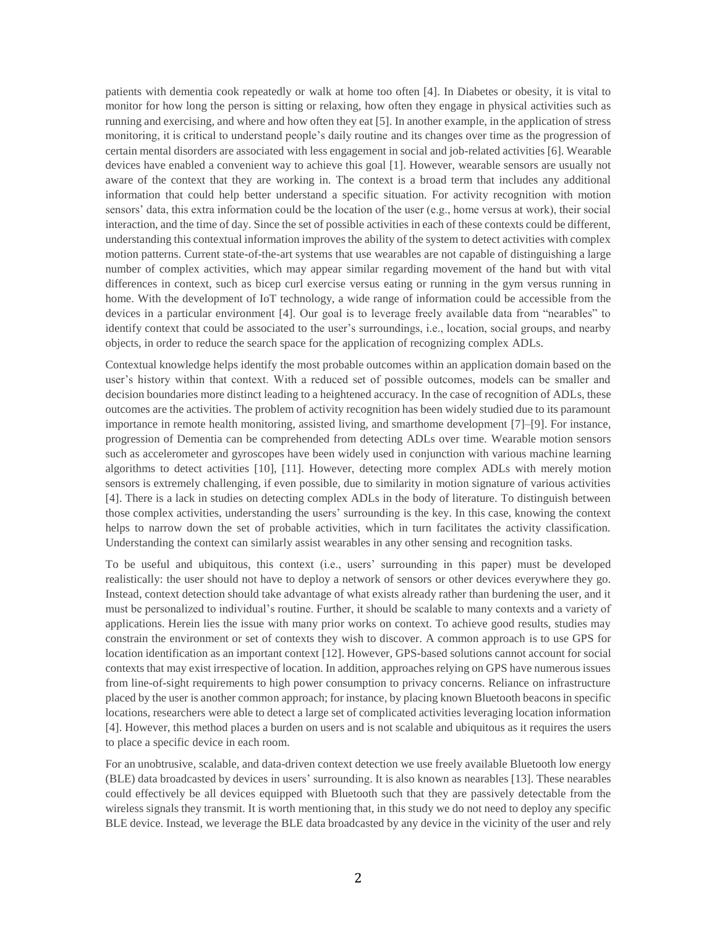patients with dementia cook repeatedly or walk at home too often [4]. In Diabetes or obesity, it is vital to monitor for how long the person is sitting or relaxing, how often they engage in physical activities such as running and exercising, and where and how often they eat [5]. In another example, in the application of stress monitoring, it is critical to understand people's daily routine and its changes over time as the progression of certain mental disorders are associated with less engagement in social and job-related activities [6]. Wearable devices have enabled a convenient way to achieve this goal [1]. However, wearable sensors are usually not aware of the context that they are working in. The context is a broad term that includes any additional information that could help better understand a specific situation. For activity recognition with motion sensors' data, this extra information could be the location of the user (e.g., home versus at work), their social interaction, and the time of day. Since the set of possible activities in each of these contexts could be different, understanding this contextual information improves the ability of the system to detect activities with complex motion patterns. Current state-of-the-art systems that use wearables are not capable of distinguishing a large number of complex activities, which may appear similar regarding movement of the hand but with vital differences in context, such as bicep curl exercise versus eating or running in the gym versus running in home. With the development of IoT technology, a wide range of information could be accessible from the devices in a particular environment [4]. Our goal is to leverage freely available data from "nearables" to identify context that could be associated to the user's surroundings, i.e., location, social groups, and nearby objects, in order to reduce the search space for the application of recognizing complex ADLs.

Contextual knowledge helps identify the most probable outcomes within an application domain based on the user's history within that context. With a reduced set of possible outcomes, models can be smaller and decision boundaries more distinct leading to a heightened accuracy. In the case of recognition of ADLs, these outcomes are the activities. The problem of activity recognition has been widely studied due to its paramount importance in remote health monitoring, assisted living, and smarthome development [7]–[9]. For instance, progression of Dementia can be comprehended from detecting ADLs over time. Wearable motion sensors such as accelerometer and gyroscopes have been widely used in conjunction with various machine learning algorithms to detect activities [10], [11]. However, detecting more complex ADLs with merely motion sensors is extremely challenging, if even possible, due to similarity in motion signature of various activities [4]. There is a lack in studies on detecting complex ADLs in the body of literature. To distinguish between those complex activities, understanding the users' surrounding is the key. In this case, knowing the context helps to narrow down the set of probable activities, which in turn facilitates the activity classification. Understanding the context can similarly assist wearables in any other sensing and recognition tasks.

To be useful and ubiquitous, this context (i.e., users' surrounding in this paper) must be developed realistically: the user should not have to deploy a network of sensors or other devices everywhere they go. Instead, context detection should take advantage of what exists already rather than burdening the user, and it must be personalized to individual's routine. Further, it should be scalable to many contexts and a variety of applications. Herein lies the issue with many prior works on context. To achieve good results, studies may constrain the environment or set of contexts they wish to discover. A common approach is to use GPS for location identification as an important context [12]. However, GPS-based solutions cannot account for social contexts that may exist irrespective of location. In addition, approaches relying on GPS have numerous issues from line-of-sight requirements to high power consumption to privacy concerns. Reliance on infrastructure placed by the user is another common approach; for instance, by placing known Bluetooth beacons in specific locations, researchers were able to detect a large set of complicated activities leveraging location information [4]. However, this method places a burden on users and is not scalable and ubiquitous as it requires the users to place a specific device in each room.

For an unobtrusive, scalable, and data-driven context detection we use freely available Bluetooth low energy (BLE) data broadcasted by devices in users' surrounding. It is also known as nearables [13]. These nearables could effectively be all devices equipped with Bluetooth such that they are passively detectable from the wireless signals they transmit. It is worth mentioning that, in this study we do not need to deploy any specific BLE device. Instead, we leverage the BLE data broadcasted by any device in the vicinity of the user and rely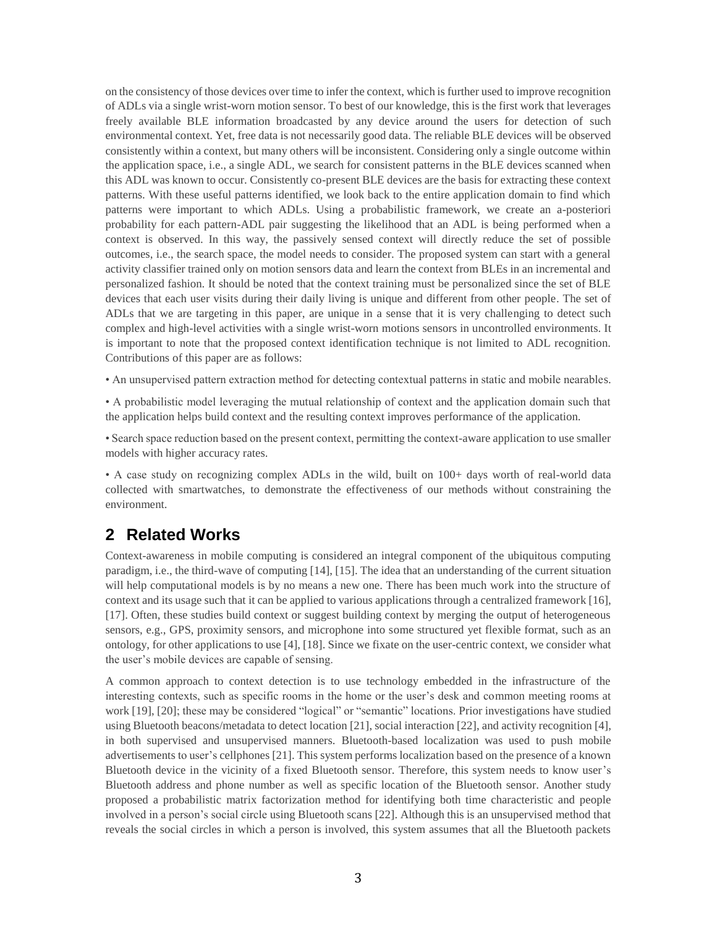on the consistency of those devices over time to infer the context, which is further used to improve recognition of ADLs via a single wrist-worn motion sensor. To best of our knowledge, this is the first work that leverages freely available BLE information broadcasted by any device around the users for detection of such environmental context. Yet, free data is not necessarily good data. The reliable BLE devices will be observed consistently within a context, but many others will be inconsistent. Considering only a single outcome within the application space, i.e., a single ADL, we search for consistent patterns in the BLE devices scanned when this ADL was known to occur. Consistently co-present BLE devices are the basis for extracting these context patterns. With these useful patterns identified, we look back to the entire application domain to find which patterns were important to which ADLs. Using a probabilistic framework, we create an a-posteriori probability for each pattern-ADL pair suggesting the likelihood that an ADL is being performed when a context is observed. In this way, the passively sensed context will directly reduce the set of possible outcomes, i.e., the search space, the model needs to consider. The proposed system can start with a general activity classifier trained only on motion sensors data and learn the context from BLEs in an incremental and personalized fashion. It should be noted that the context training must be personalized since the set of BLE devices that each user visits during their daily living is unique and different from other people. The set of ADLs that we are targeting in this paper, are unique in a sense that it is very challenging to detect such complex and high-level activities with a single wrist-worn motions sensors in uncontrolled environments. It is important to note that the proposed context identification technique is not limited to ADL recognition. Contributions of this paper are as follows:

• An unsupervised pattern extraction method for detecting contextual patterns in static and mobile nearables.

• A probabilistic model leveraging the mutual relationship of context and the application domain such that the application helps build context and the resulting context improves performance of the application.

• Search space reduction based on the present context, permitting the context-aware application to use smaller models with higher accuracy rates.

• A case study on recognizing complex ADLs in the wild, built on 100+ days worth of real-world data collected with smartwatches, to demonstrate the effectiveness of our methods without constraining the environment.

## **2 Related Works**

Context-awareness in mobile computing is considered an integral component of the ubiquitous computing paradigm, i.e., the third-wave of computing [14], [15]. The idea that an understanding of the current situation will help computational models is by no means a new one. There has been much work into the structure of context and its usage such that it can be applied to various applications through a centralized framework [16], [17]. Often, these studies build context or suggest building context by merging the output of heterogeneous sensors, e.g., GPS, proximity sensors, and microphone into some structured yet flexible format, such as an ontology, for other applications to use [4], [18]. Since we fixate on the user-centric context, we consider what the user's mobile devices are capable of sensing.

A common approach to context detection is to use technology embedded in the infrastructure of the interesting contexts, such as specific rooms in the home or the user's desk and common meeting rooms at work [19], [20]; these may be considered "logical" or "semantic" locations. Prior investigations have studied using Bluetooth beacons/metadata to detect location [21], social interaction [22], and activity recognition [4], in both supervised and unsupervised manners. Bluetooth-based localization was used to push mobile advertisements to user's cellphones [21]. This system performs localization based on the presence of a known Bluetooth device in the vicinity of a fixed Bluetooth sensor. Therefore, this system needs to know user's Bluetooth address and phone number as well as specific location of the Bluetooth sensor. Another study proposed a probabilistic matrix factorization method for identifying both time characteristic and people involved in a person's social circle using Bluetooth scans [22]. Although this is an unsupervised method that reveals the social circles in which a person is involved, this system assumes that all the Bluetooth packets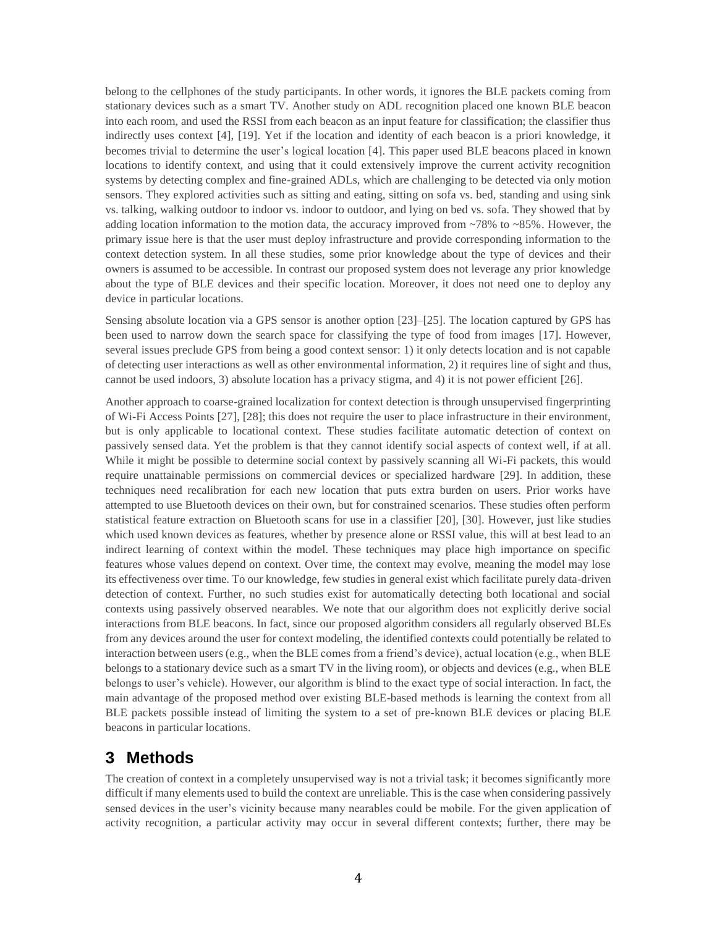belong to the cellphones of the study participants. In other words, it ignores the BLE packets coming from stationary devices such as a smart TV. Another study on ADL recognition placed one known BLE beacon into each room, and used the RSSI from each beacon as an input feature for classification; the classifier thus indirectly uses context [4], [19]. Yet if the location and identity of each beacon is a priori knowledge, it becomes trivial to determine the user's logical location [4]. This paper used BLE beacons placed in known locations to identify context, and using that it could extensively improve the current activity recognition systems by detecting complex and fine-grained ADLs, which are challenging to be detected via only motion sensors. They explored activities such as sitting and eating, sitting on sofa vs. bed, standing and using sink vs. talking, walking outdoor to indoor vs. indoor to outdoor, and lying on bed vs. sofa. They showed that by adding location information to the motion data, the accuracy improved from  $\sim 78\%$  to  $\sim 85\%$ . However, the primary issue here is that the user must deploy infrastructure and provide corresponding information to the context detection system. In all these studies, some prior knowledge about the type of devices and their owners is assumed to be accessible. In contrast our proposed system does not leverage any prior knowledge about the type of BLE devices and their specific location. Moreover, it does not need one to deploy any device in particular locations.

Sensing absolute location via a GPS sensor is another option [23]–[25]. The location captured by GPS has been used to narrow down the search space for classifying the type of food from images [17]. However, several issues preclude GPS from being a good context sensor: 1) it only detects location and is not capable of detecting user interactions as well as other environmental information, 2) it requires line of sight and thus, cannot be used indoors, 3) absolute location has a privacy stigma, and 4) it is not power efficient [26].

Another approach to coarse-grained localization for context detection is through unsupervised fingerprinting of Wi-Fi Access Points [27], [28]; this does not require the user to place infrastructure in their environment, but is only applicable to locational context. These studies facilitate automatic detection of context on passively sensed data. Yet the problem is that they cannot identify social aspects of context well, if at all. While it might be possible to determine social context by passively scanning all Wi-Fi packets, this would require unattainable permissions on commercial devices or specialized hardware [29]. In addition, these techniques need recalibration for each new location that puts extra burden on users. Prior works have attempted to use Bluetooth devices on their own, but for constrained scenarios. These studies often perform statistical feature extraction on Bluetooth scans for use in a classifier [20], [30]. However, just like studies which used known devices as features, whether by presence alone or RSSI value, this will at best lead to an indirect learning of context within the model. These techniques may place high importance on specific features whose values depend on context. Over time, the context may evolve, meaning the model may lose its effectiveness over time. To our knowledge, few studies in general exist which facilitate purely data-driven detection of context. Further, no such studies exist for automatically detecting both locational and social contexts using passively observed nearables. We note that our algorithm does not explicitly derive social interactions from BLE beacons. In fact, since our proposed algorithm considers all regularly observed BLEs from any devices around the user for context modeling, the identified contexts could potentially be related to interaction between users (e.g., when the BLE comes from a friend's device), actual location (e.g., when BLE belongs to a stationary device such as a smart TV in the living room), or objects and devices (e.g., when BLE belongs to user's vehicle). However, our algorithm is blind to the exact type of social interaction. In fact, the main advantage of the proposed method over existing BLE-based methods is learning the context from all BLE packets possible instead of limiting the system to a set of pre-known BLE devices or placing BLE beacons in particular locations.

## **3 Methods**

The creation of context in a completely unsupervised way is not a trivial task; it becomes significantly more difficult if many elements used to build the context are unreliable. This is the case when considering passively sensed devices in the user's vicinity because many nearables could be mobile. For the given application of activity recognition, a particular activity may occur in several different contexts; further, there may be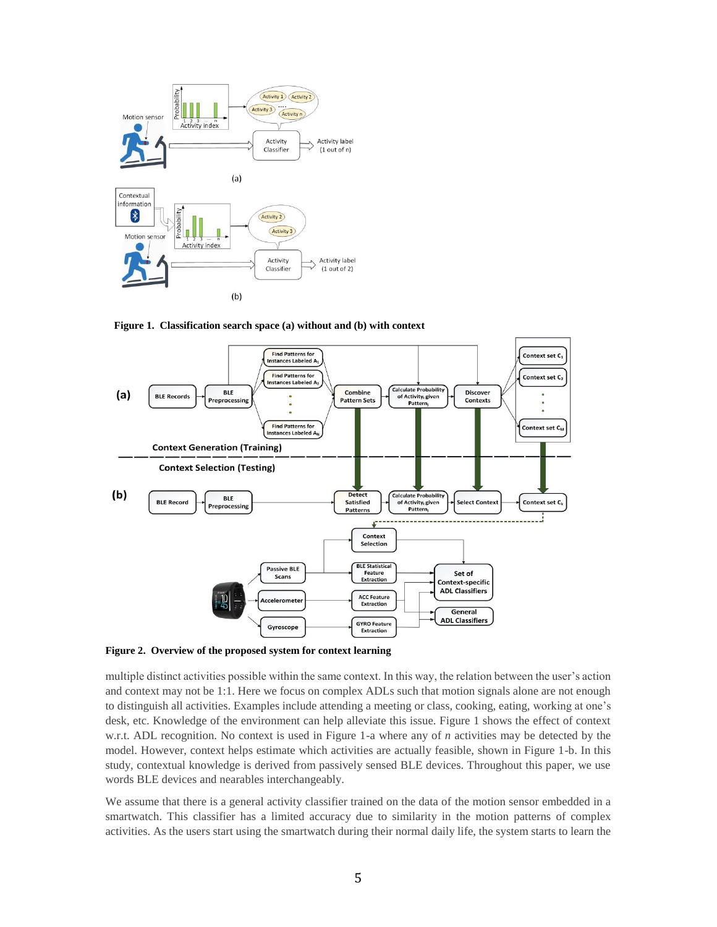

**Figure 1. Classification search space (a) without and (b) with context**



**Figure 2. Overview of the proposed system for context learning**

multiple distinct activities possible within the same context. In this way, the relation between the user's action and context may not be 1:1. Here we focus on complex ADLs such that motion signals alone are not enough to distinguish all activities. Examples include attending a meeting or class, cooking, eating, working at one's desk, etc. Knowledge of the environment can help alleviate this issue. Figure 1 shows the effect of context w.r.t. ADL recognition. No context is used in Figure 1-a where any of *n* activities may be detected by the model. However, context helps estimate which activities are actually feasible, shown in Figure 1-b. In this study, contextual knowledge is derived from passively sensed BLE devices. Throughout this paper, we use words BLE devices and nearables interchangeably.

We assume that there is a general activity classifier trained on the data of the motion sensor embedded in a smartwatch. This classifier has a limited accuracy due to similarity in the motion patterns of complex activities. As the users start using the smartwatch during their normal daily life, the system starts to learn the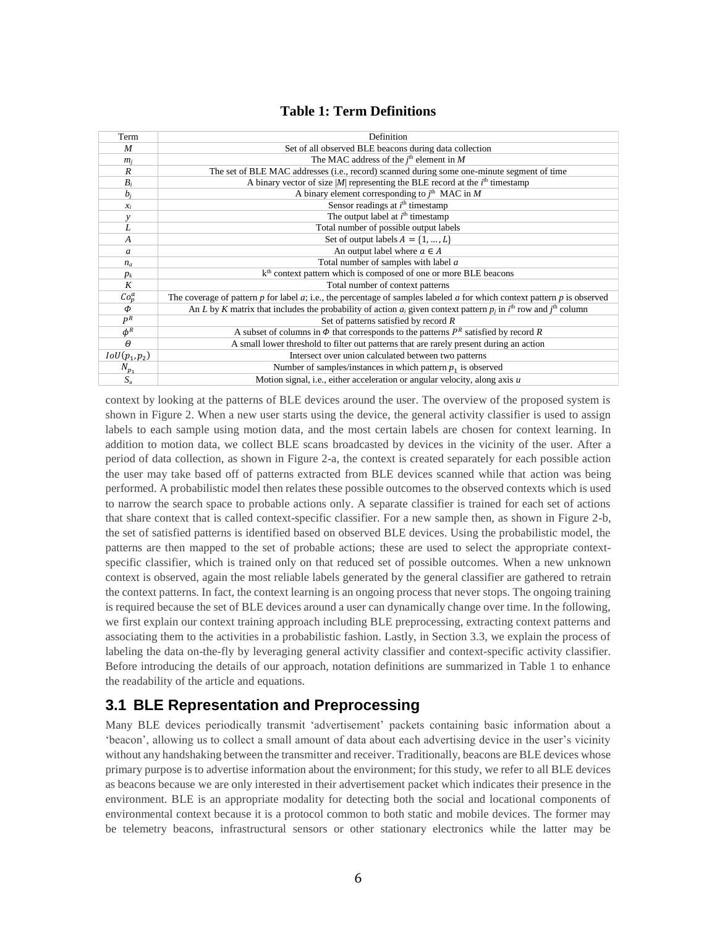## **Table 1: Term Definitions**

| Term            | Definition                                                                                                                                   |  |  |  |  |
|-----------------|----------------------------------------------------------------------------------------------------------------------------------------------|--|--|--|--|
| M               | Set of all observed BLE beacons during data collection                                                                                       |  |  |  |  |
| $m_i$           | The MAC address of the $i^{\text{th}}$ element in M                                                                                          |  |  |  |  |
| R               | The set of BLE MAC addresses (i.e., record) scanned during some one-minute segment of time                                                   |  |  |  |  |
| $B_i$           | A binary vector of size $ M $ representing the BLE record at the $ith$ timestamp                                                             |  |  |  |  |
| $b_i$           | A binary element corresponding to $j^{\text{th}}$ MAC in M                                                                                   |  |  |  |  |
| $x_i$           | Sensor readings at $ith$ timestamp                                                                                                           |  |  |  |  |
| $\mathcal{Y}$   | The output label at $ith$ timestamp                                                                                                          |  |  |  |  |
| L               | Total number of possible output labels                                                                                                       |  |  |  |  |
| $\overline{A}$  | Set of output labels $A = \{1, , L\}$                                                                                                        |  |  |  |  |
| a               | An output label where $a \in A$                                                                                                              |  |  |  |  |
| $n_a$           | Total number of samples with label a                                                                                                         |  |  |  |  |
| $p_k$           | k <sup>th</sup> context pattern which is composed of one or more BLE beacons                                                                 |  |  |  |  |
| K               | Total number of context patterns                                                                                                             |  |  |  |  |
| $Co_p^a$        | The coverage of pattern p for label a; i.e., the percentage of samples labeled a for which context pattern p is observed                     |  |  |  |  |
| $\Phi$          | An L by K matrix that includes the probability of action $a_i$ given context pattern $p_i$ in $i^{\text{th}}$ row and $i^{\text{th}}$ column |  |  |  |  |
| $P^R$           | Set of patterns satisfied by record $R$                                                                                                      |  |  |  |  |
| $\phi^R$        | A subset of columns in $\Phi$ that corresponds to the patterns $P^R$ satisfied by record R                                                   |  |  |  |  |
| $\theta$        | A small lower threshold to filter out patterns that are rarely present during an action                                                      |  |  |  |  |
| $IoU(p_1, p_2)$ | Intersect over union calculated between two patterns                                                                                         |  |  |  |  |
| $N_{p_1}$       | Number of samples/instances in which pattern $p_1$ is observed                                                                               |  |  |  |  |
| $S_u$           | Motion signal, i.e., either acceleration or angular velocity, along axis $u$                                                                 |  |  |  |  |

context by looking at the patterns of BLE devices around the user. The overview of the proposed system is shown in Figure 2. When a new user starts using the device, the general activity classifier is used to assign labels to each sample using motion data, and the most certain labels are chosen for context learning. In addition to motion data, we collect BLE scans broadcasted by devices in the vicinity of the user. After a period of data collection, as shown in Figure 2-a, the context is created separately for each possible action the user may take based off of patterns extracted from BLE devices scanned while that action was being performed. A probabilistic model then relates these possible outcomes to the observed contexts which is used to narrow the search space to probable actions only. A separate classifier is trained for each set of actions that share context that is called context-specific classifier. For a new sample then, as shown in Figure 2-b, the set of satisfied patterns is identified based on observed BLE devices. Using the probabilistic model, the patterns are then mapped to the set of probable actions; these are used to select the appropriate contextspecific classifier, which is trained only on that reduced set of possible outcomes. When a new unknown context is observed, again the most reliable labels generated by the general classifier are gathered to retrain the context patterns. In fact, the context learning is an ongoing process that never stops. The ongoing training is required because the set of BLE devices around a user can dynamically change over time. In the following, we first explain our context training approach including BLE preprocessing, extracting context patterns and associating them to the activities in a probabilistic fashion. Lastly, in Section 3.3, we explain the process of labeling the data on-the-fly by leveraging general activity classifier and context-specific activity classifier. Before introducing the details of our approach, notation definitions are summarized in Table 1 to enhance the readability of the article and equations.

## **3.1 BLE Representation and Preprocessing**

Many BLE devices periodically transmit 'advertisement' packets containing basic information about a 'beacon', allowing us to collect a small amount of data about each advertising device in the user's vicinity without any handshaking between the transmitter and receiver. Traditionally, beacons are BLE devices whose primary purpose is to advertise information about the environment; for this study, we refer to all BLE devices as beacons because we are only interested in their advertisement packet which indicates their presence in the environment. BLE is an appropriate modality for detecting both the social and locational components of environmental context because it is a protocol common to both static and mobile devices. The former may be telemetry beacons, infrastructural sensors or other stationary electronics while the latter may be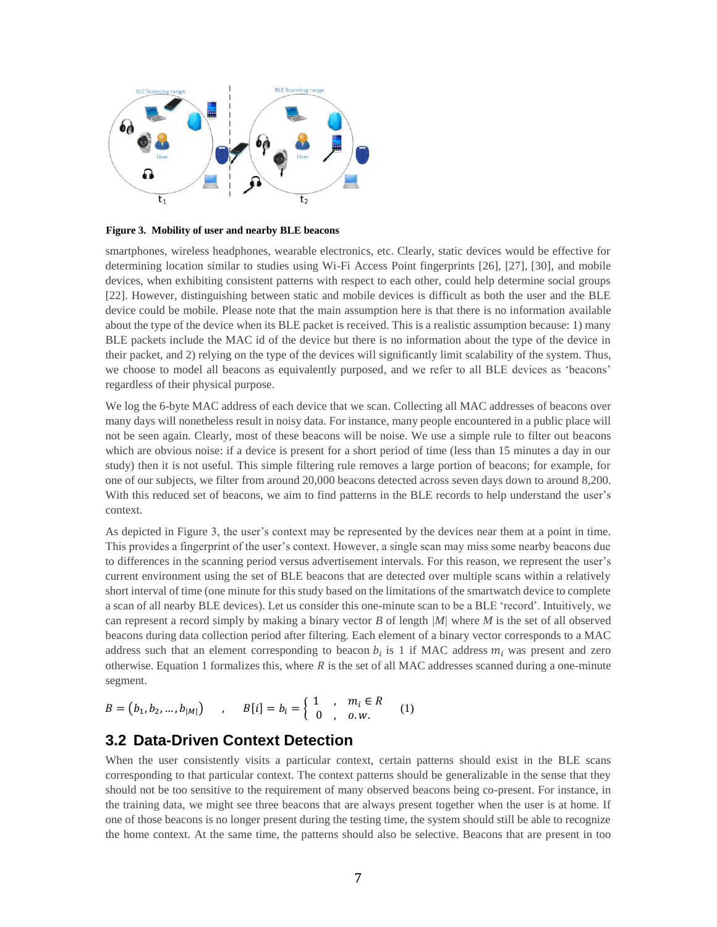

**Figure 3. Mobility of user and nearby BLE beacons**

smartphones, wireless headphones, wearable electronics, etc. Clearly, static devices would be effective for determining location similar to studies using Wi-Fi Access Point fingerprints [26], [27], [30], and mobile devices, when exhibiting consistent patterns with respect to each other, could help determine social groups [22]. However, distinguishing between static and mobile devices is difficult as both the user and the BLE device could be mobile. Please note that the main assumption here is that there is no information available about the type of the device when its BLE packet is received. This is a realistic assumption because: 1) many BLE packets include the MAC id of the device but there is no information about the type of the device in their packet, and 2) relying on the type of the devices will significantly limit scalability of the system. Thus, we choose to model all beacons as equivalently purposed, and we refer to all BLE devices as 'beacons' regardless of their physical purpose.

We log the 6-byte MAC address of each device that we scan. Collecting all MAC addresses of beacons over many days will nonetheless result in noisy data. For instance, many people encountered in a public place will not be seen again. Clearly, most of these beacons will be noise. We use a simple rule to filter out beacons which are obvious noise: if a device is present for a short period of time (less than 15 minutes a day in our study) then it is not useful. This simple filtering rule removes a large portion of beacons; for example, for one of our subjects, we filter from around 20,000 beacons detected across seven days down to around 8,200. With this reduced set of beacons, we aim to find patterns in the BLE records to help understand the user's context.

As depicted in Figure 3, the user's context may be represented by the devices near them at a point in time. This provides a fingerprint of the user's context. However, a single scan may miss some nearby beacons due to differences in the scanning period versus advertisement intervals. For this reason, we represent the user's current environment using the set of BLE beacons that are detected over multiple scans within a relatively short interval of time (one minute for this study based on the limitations of the smartwatch device to complete a scan of all nearby BLE devices). Let us consider this one-minute scan to be a BLE 'record'. Intuitively, we can represent a record simply by making a binary vector *B* of length *|M|* where *M* is the set of all observed beacons during data collection period after filtering. Each element of a binary vector corresponds to a MAC address such that an element corresponding to beacon  $b_i$  is 1 if MAC address  $m_i$  was present and zero otherwise. Equation 1 formalizes this, where  $R$  is the set of all MAC addresses scanned during a one-minute segment.

$$
B = (b_1, b_2, ..., b_{|M|}) \qquad , \qquad B[i] = b_i = \begin{cases} 1 & , m_i \in R \\ 0 & , o.w. \end{cases} \qquad (1)
$$

## **3.2 Data-Driven Context Detection**

When the user consistently visits a particular context, certain patterns should exist in the BLE scans corresponding to that particular context. The context patterns should be generalizable in the sense that they should not be too sensitive to the requirement of many observed beacons being co-present. For instance, in the training data, we might see three beacons that are always present together when the user is at home. If one of those beacons is no longer present during the testing time, the system should still be able to recognize the home context. At the same time, the patterns should also be selective. Beacons that are present in too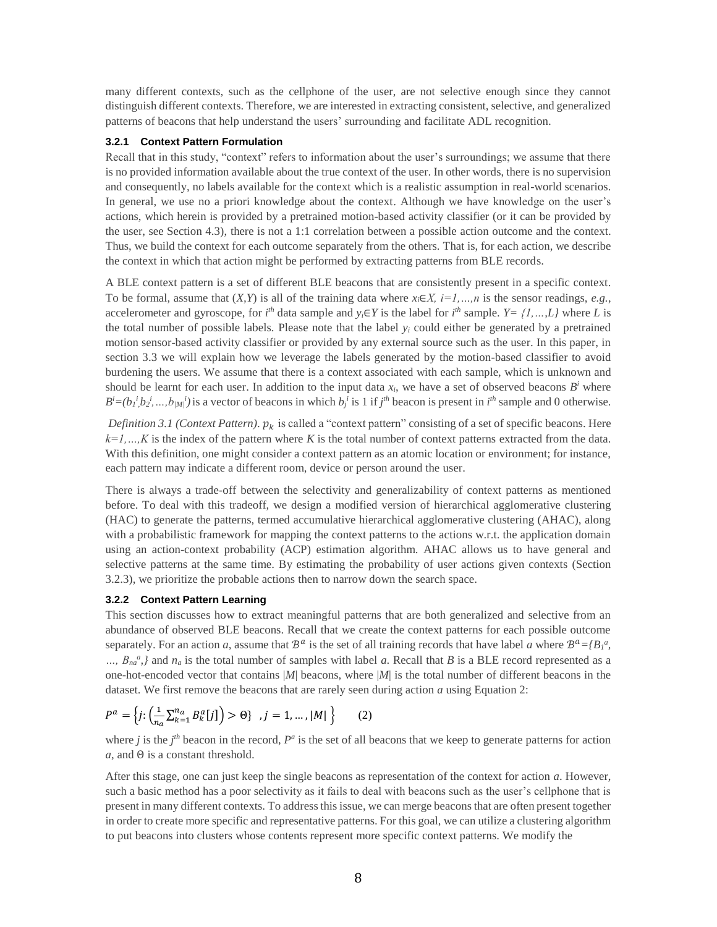many different contexts, such as the cellphone of the user, are not selective enough since they cannot distinguish different contexts. Therefore, we are interested in extracting consistent, selective, and generalized patterns of beacons that help understand the users' surrounding and facilitate ADL recognition.

#### **3.2.1 Context Pattern Formulation**

Recall that in this study, "context" refers to information about the user's surroundings; we assume that there is no provided information available about the true context of the user. In other words, there is no supervision and consequently, no labels available for the context which is a realistic assumption in real-world scenarios. In general, we use no a priori knowledge about the context. Although we have knowledge on the user's actions, which herein is provided by a pretrained motion-based activity classifier (or it can be provided by the user, see Section 4.3), there is not a 1:1 correlation between a possible action outcome and the context. Thus, we build the context for each outcome separately from the others. That is, for each action, we describe the context in which that action might be performed by extracting patterns from BLE records.

A BLE context pattern is a set of different BLE beacons that are consistently present in a specific context. To be formal, assume that  $(X, Y)$  is all of the training data where  $x_i \in X$ ,  $i=1,...,n$  is the sensor readings, *e.g.*, accelerometer and gyroscope, for  $i^h$  data sample and  $y_i \in Y$  is the label for  $i^h$  sample.  $Y = \{1, ..., L\}$  where *L* is the total number of possible labels. Please note that the label *y<sup>i</sup>* could either be generated by a pretrained motion sensor-based activity classifier or provided by any external source such as the user. In this paper, in section 3.3 we will explain how we leverage the labels generated by the motion-based classifier to avoid burdening the users. We assume that there is a context associated with each sample, which is unknown and should be learnt for each user. In addition to the input data  $x_i$ , we have a set of observed beacons  $B^i$  where  $B^i = (b_1^i, b_2^i, ..., b_{\vert M \vert})$  is a vector of beacons in which  $b_j^i$  is 1 if  $j^{th}$  beacon is present in  $i^{th}$  sample and 0 otherwise.

*Definition 3.1 (Context Pattern).*  $p_k$  is called a "context pattern" consisting of a set of specific beacons. Here *k=1,…,K* is the index of the pattern where *K* is the total number of context patterns extracted from the data. With this definition, one might consider a context pattern as an atomic location or environment; for instance, each pattern may indicate a different room, device or person around the user.

There is always a trade-off between the selectivity and generalizability of context patterns as mentioned before. To deal with this tradeoff, we design a modified version of hierarchical agglomerative clustering (HAC) to generate the patterns, termed accumulative hierarchical agglomerative clustering (AHAC), along with a probabilistic framework for mapping the context patterns to the actions w.r.t. the application domain using an action-context probability (ACP) estimation algorithm. AHAC allows us to have general and selective patterns at the same time. By estimating the probability of user actions given contexts (Section 3.2.3), we prioritize the probable actions then to narrow down the search space.

#### **3.2.2 Context Pattern Learning**

This section discusses how to extract meaningful patterns that are both generalized and selective from an abundance of observed BLE beacons. Recall that we create the context patterns for each possible outcome separately. For an action *a*, assume that  $\mathcal{B}^a$  is the set of all training records that have label *a* where  $\mathcal{B}^a = \{B\}^a$ ,  $\ldots$ ,  $B_{na}^{a}$ , and  $n_a$  is the total number of samples with label *a*. Recall that *B* is a BLE record represented as a one-hot-encoded vector that contains |*M*| beacons, where |*M*| is the total number of different beacons in the dataset. We first remove the beacons that are rarely seen during action *a* using Equation 2:

$$
P^{a} = \left\{ j : \left( \frac{1}{n_{a}} \sum_{k=1}^{n_{a}} B_{k}^{a}[j] \right) > \Theta \right\}, j = 1, ..., |M| \right\}
$$
 (2)

where *j* is the  $j<sup>th</sup>$  beacon in the record,  $P<sup>a</sup>$  is the set of all beacons that we keep to generate patterns for action *a*, and Θ is a constant threshold.

After this stage, one can just keep the single beacons as representation of the context for action *a*. However, such a basic method has a poor selectivity as it fails to deal with beacons such as the user's cellphone that is present in many different contexts. To address this issue, we can merge beacons that are often present together in order to create more specific and representative patterns. For this goal, we can utilize a clustering algorithm to put beacons into clusters whose contents represent more specific context patterns. We modify the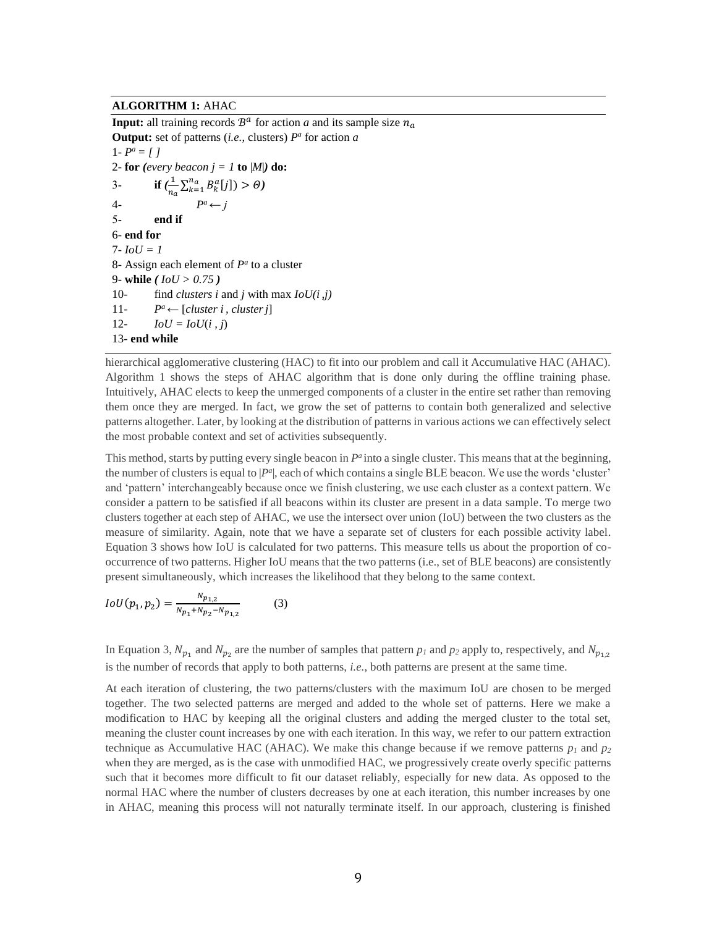### **ALGORITHM 1:** AHAC

**Input:** all training records  $\mathcal{B}^a$  for action *a* and its sample size  $n_a$ **Output:** set of patterns (*i.e.*, clusters) *P a* for action *a* 1 -  $P^a = [$  ] 2- **for** (*every beacon*  $j = 1$  **to**  $|M|$ **) do:** 3- **if**  $(\frac{1}{2})$  $\frac{1}{n_a} \sum_{k=1}^{n_a} B_k^a[j] > \Theta$ 4- *P*  $P^a \leftarrow$ 5- **end if** 6- **end for**  $7 - IoU = 1$ 8- Assign each element of  $P^a$  to a cluster 9- **while** *( IoU > 0.75 )* 10- find *clusters i* and *j* with max  $IoU(i, j)$ 11- *P*  $P^a$  ← [*cluster i*, *cluster j*] 12-  $IoU = IoU(i, j)$ 13- **end while**

hierarchical agglomerative clustering (HAC) to fit into our problem and call it Accumulative HAC (AHAC). Algorithm 1 shows the steps of AHAC algorithm that is done only during the offline training phase. Intuitively, AHAC elects to keep the unmerged components of a cluster in the entire set rather than removing them once they are merged. In fact, we grow the set of patterns to contain both generalized and selective patterns altogether. Later, by looking at the distribution of patterns in various actions we can effectively select the most probable context and set of activities subsequently.

This method, starts by putting every single beacon in  $P^a$  into a single cluster. This means that at the beginning, the number of clusters is equal to  $|P^a|$ , each of which contains a single BLE beacon. We use the words 'cluster' and 'pattern' interchangeably because once we finish clustering, we use each cluster as a context pattern. We consider a pattern to be satisfied if all beacons within its cluster are present in a data sample. To merge two clusters together at each step of AHAC, we use the intersect over union (IoU) between the two clusters as the measure of similarity. Again, note that we have a separate set of clusters for each possible activity label. Equation 3 shows how IoU is calculated for two patterns. This measure tells us about the proportion of cooccurrence of two patterns. Higher IoU means that the two patterns (i.e., set of BLE beacons) are consistently present simultaneously, which increases the likelihood that they belong to the same context.

$$
IoU(p_1, p_2) = \frac{N_{p_{1,2}}}{N_{p_1} + N_{p_2} - N_{p_{1,2}}}
$$
 (3)

In Equation 3,  $N_{p_1}$  and  $N_{p_2}$  are the number of samples that pattern  $p_1$  and  $p_2$  apply to, respectively, and  $N_{p_{1,2}}$ is the number of records that apply to both patterns, *i.e.*, both patterns are present at the same time.

At each iteration of clustering, the two patterns/clusters with the maximum IoU are chosen to be merged together. The two selected patterns are merged and added to the whole set of patterns. Here we make a modification to HAC by keeping all the original clusters and adding the merged cluster to the total set, meaning the cluster count increases by one with each iteration. In this way, we refer to our pattern extraction technique as Accumulative HAC (AHAC). We make this change because if we remove patterns  $p_1$  and  $p_2$ when they are merged, as is the case with unmodified HAC, we progressively create overly specific patterns such that it becomes more difficult to fit our dataset reliably, especially for new data. As opposed to the normal HAC where the number of clusters decreases by one at each iteration, this number increases by one in AHAC, meaning this process will not naturally terminate itself. In our approach, clustering is finished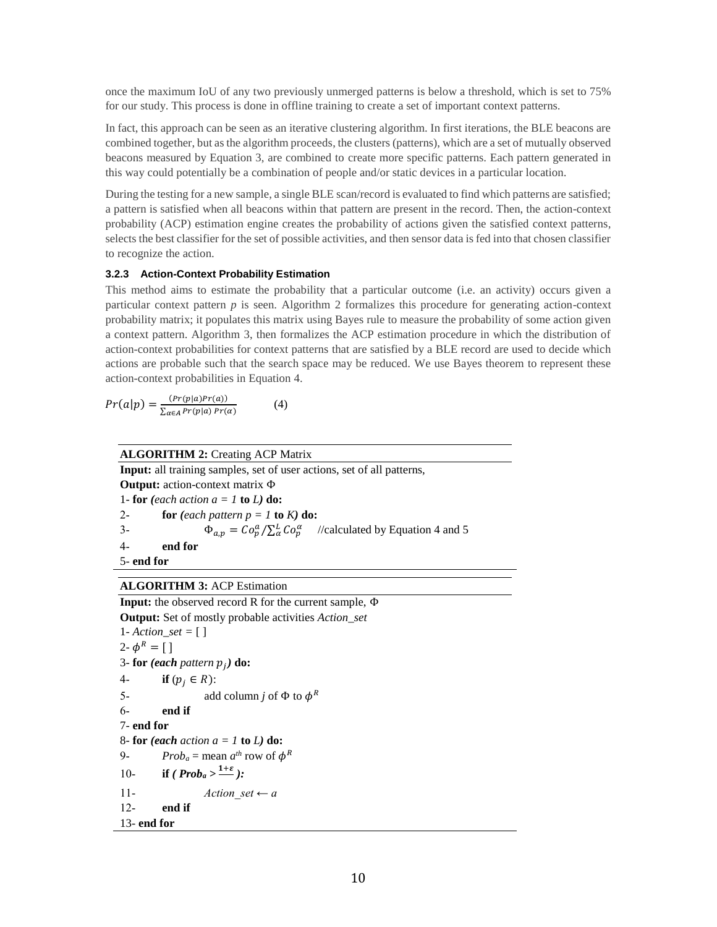once the maximum IoU of any two previously unmerged patterns is below a threshold, which is set to 75% for our study. This process is done in offline training to create a set of important context patterns.

In fact, this approach can be seen as an iterative clustering algorithm. In first iterations, the BLE beacons are combined together, but as the algorithm proceeds, the clusters (patterns), which are a set of mutually observed beacons measured by Equation 3, are combined to create more specific patterns. Each pattern generated in this way could potentially be a combination of people and/or static devices in a particular location.

During the testing for a new sample, a single BLE scan/record is evaluated to find which patterns are satisfied; a pattern is satisfied when all beacons within that pattern are present in the record. Then, the action-context probability (ACP) estimation engine creates the probability of actions given the satisfied context patterns, selects the best classifier for the set of possible activities, and then sensor data is fed into that chosen classifier to recognize the action.

#### **3.2.3 Action-Context Probability Estimation**

This method aims to estimate the probability that a particular outcome (i.e. an activity) occurs given a particular context pattern *p* is seen. Algorithm 2 formalizes this procedure for generating action-context probability matrix; it populates this matrix using Bayes rule to measure the probability of some action given a context pattern. Algorithm 3, then formalizes the ACP estimation procedure in which the distribution of action-context probabilities for context patterns that are satisfied by a BLE record are used to decide which actions are probable such that the search space may be reduced. We use Bayes theorem to represent these action-context probabilities in Equation 4.

 $Pr(a|p) = \frac{(Pr(p|a)Pr(a))}{\sum_{p|p(a|b)} p_p(a)}$  $\sum_{\alpha\in A}Pr(p|a)$   $Pr(\alpha)$ (4)

#### **ALGORITHM 2:** Creating ACP Matrix

**Input:** all training samples, set of user actions, set of all patterns, **Output:** action-context matrix Φ 1- **for** (each action  $a = 1$  **to**  $L$ ) **do:** 2- **for**  $\{each pattern p = 1 \text{ to } K\}$  **do:** 3-  $\Phi_{a,p} = C \frac{\partial^a_p}{\partial \alpha^b} = C \frac{\partial^a_p}{\partial \alpha^b}$  //calculated by Equation 4 and 5 4- **end for** 5- **end for**

### **ALGORITHM 3:** ACP Estimation

**Input:** the observed record R for the current sample, Φ **Output:** Set of mostly probable activities *Action\_set* 1- *Action\_set =* [ ] 2-  $\phi^R = [$ ] 3- **for** (each pattern  $p_j$ ) **do:** 4- **if**  $(p_i \in R)$ : 5- add column *j* of  $\Phi$  to  $\phi^R$ 6- **end if** 7- **end for** 8- **for** *(each action a = 1* **to** *L)* **do:** 9-  $Prob_a = \text{mean } a^{th}$  row of  $\phi^R$ 10- **if**  $(Prob_a > \frac{1+\varepsilon}{n})$ : 11- *Action set*  $\leftarrow a$ 12- **end if** 13- **end for**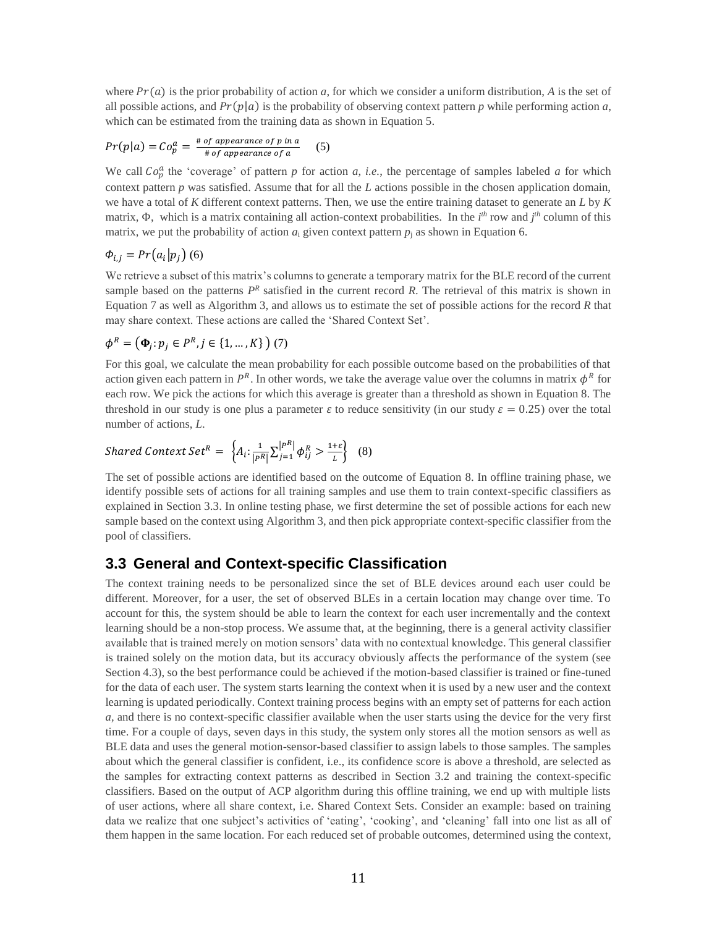where  $Pr(a)$  is the prior probability of action *a*, for which we consider a uniform distribution, *A* is the set of all possible actions, and  $Pr(p|a)$  is the probability of observing context pattern *p* while performing action *a*, which can be estimated from the training data as shown in Equation 5.

$$
Pr(p|a) = Co_p^a = \frac{\# \text{ of appearance of } p \text{ in } a}{\# \text{ of appearance of } a} \qquad (5)
$$

We call  $Co_p^a$  the 'coverage' of pattern *p* for action *a*, *i.e.*, the percentage of samples labeled *a* for which context pattern *p* was satisfied. Assume that for all the *L* actions possible in the chosen application domain, we have a total of *K* different context patterns. Then, we use the entire training dataset to generate an *L* by *K* matrix, Φ, which is a matrix containing all action-context probabilities. In the *i th* row and *j th* column of this matrix, we put the probability of action  $a_i$  given context pattern  $p_i$  as shown in Equation 6.

$$
\Phi_{i,j} = Pr(a_i|p_j) \tag{6}
$$

We retrieve a subset of this matrix's columns to generate a temporary matrix for the BLE record of the current sample based on the patterns  $P^R$  satisfied in the current record  $R$ . The retrieval of this matrix is shown in Equation 7 as well as Algorithm 3, and allows us to estimate the set of possible actions for the record *R* that may share context. These actions are called the 'Shared Context Set'.

$$
\phi^R = \left(\Phi_j : p_j \in P^R, j \in \{1, \ldots, K\} \right) (7)
$$

For this goal, we calculate the mean probability for each possible outcome based on the probabilities of that action given each pattern in  $P^R$ . In other words, we take the average value over the columns in matrix  $\phi^R$  for each row. We pick the actions for which this average is greater than a threshold as shown in Equation 8. The threshold in our study is one plus a parameter  $\varepsilon$  to reduce sensitivity (in our study  $\varepsilon = 0.25$ ) over the total number of actions, *L*.

#### Shared Context Set $^R = \begin{cases} A_i \colon \frac{1}{|D|} \end{cases}$  $\frac{1}{|P^R|} \sum_{j=1}^{|P^R|} \phi_{ij}^R > \frac{1+\varepsilon}{L}$  $\left\{\frac{\tau}{L}\right\}$  (8)

The set of possible actions are identified based on the outcome of Equation 8. In offline training phase, we identify possible sets of actions for all training samples and use them to train context-specific classifiers as explained in Section 3.3. In online testing phase, we first determine the set of possible actions for each new sample based on the context using Algorithm 3, and then pick appropriate context-specific classifier from the pool of classifiers.

## **3.3 General and Context-specific Classification**

The context training needs to be personalized since the set of BLE devices around each user could be different. Moreover, for a user, the set of observed BLEs in a certain location may change over time. To account for this, the system should be able to learn the context for each user incrementally and the context learning should be a non-stop process. We assume that, at the beginning, there is a general activity classifier available that is trained merely on motion sensors' data with no contextual knowledge. This general classifier is trained solely on the motion data, but its accuracy obviously affects the performance of the system (see Section 4.3), so the best performance could be achieved if the motion-based classifier is trained or fine-tuned for the data of each user. The system starts learning the context when it is used by a new user and the context learning is updated periodically. Context training process begins with an empty set of patterns for each action *a,* and there is no context-specific classifier available when the user starts using the device for the very first time. For a couple of days, seven days in this study, the system only stores all the motion sensors as well as BLE data and uses the general motion-sensor-based classifier to assign labels to those samples. The samples about which the general classifier is confident, i.e., its confidence score is above a threshold, are selected as the samples for extracting context patterns as described in Section 3.2 and training the context-specific classifiers. Based on the output of ACP algorithm during this offline training, we end up with multiple lists of user actions, where all share context, i.e. Shared Context Sets. Consider an example: based on training data we realize that one subject's activities of 'eating', 'cooking', and 'cleaning' fall into one list as all of them happen in the same location. For each reduced set of probable outcomes, determined using the context,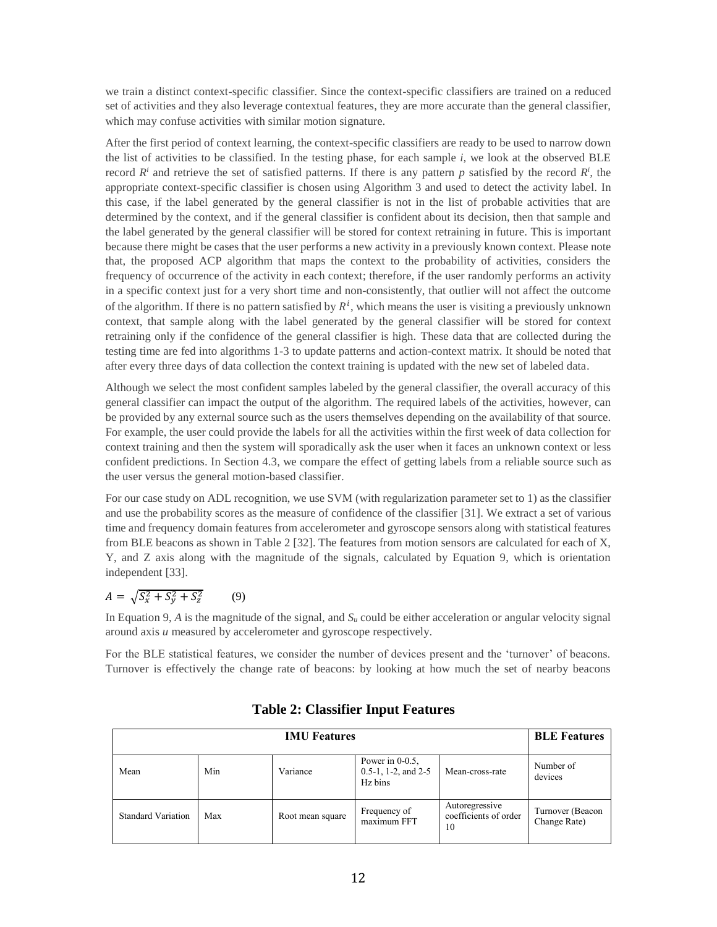we train a distinct context-specific classifier. Since the context-specific classifiers are trained on a reduced set of activities and they also leverage contextual features, they are more accurate than the general classifier, which may confuse activities with similar motion signature.

After the first period of context learning, the context-specific classifiers are ready to be used to narrow down the list of activities to be classified. In the testing phase, for each sample *i,* we look at the observed BLE record  $R^i$  and retrieve the set of satisfied patterns. If there is any pattern *p* satisfied by the record  $R^i$ , the appropriate context-specific classifier is chosen using Algorithm 3 and used to detect the activity label. In this case, if the label generated by the general classifier is not in the list of probable activities that are determined by the context, and if the general classifier is confident about its decision, then that sample and the label generated by the general classifier will be stored for context retraining in future. This is important because there might be cases that the user performs a new activity in a previously known context. Please note that, the proposed ACP algorithm that maps the context to the probability of activities, considers the frequency of occurrence of the activity in each context; therefore, if the user randomly performs an activity in a specific context just for a very short time and non-consistently, that outlier will not affect the outcome of the algorithm. If there is no pattern satisfied by  $R^i$ , which means the user is visiting a previously unknown context, that sample along with the label generated by the general classifier will be stored for context retraining only if the confidence of the general classifier is high. These data that are collected during the testing time are fed into algorithms 1-3 to update patterns and action-context matrix. It should be noted that after every three days of data collection the context training is updated with the new set of labeled data.

Although we select the most confident samples labeled by the general classifier, the overall accuracy of this general classifier can impact the output of the algorithm. The required labels of the activities, however, can be provided by any external source such as the users themselves depending on the availability of that source. For example, the user could provide the labels for all the activities within the first week of data collection for context training and then the system will sporadically ask the user when it faces an unknown context or less confident predictions. In Section 4.3, we compare the effect of getting labels from a reliable source such as the user versus the general motion-based classifier.

For our case study on ADL recognition, we use SVM (with regularization parameter set to 1) as the classifier and use the probability scores as the measure of confidence of the classifier [31]. We extract a set of various time and frequency domain features from accelerometer and gyroscope sensors along with statistical features from BLE beacons as shown in Table 2 [32]. The features from motion sensors are calculated for each of X, Y, and Z axis along with the magnitude of the signals, calculated by Equation 9, which is orientation independent [33].

#### $A = \sqrt{S_x^2 + S_y^2 + S_z^2}$  $(9)$

In Equation 9, A is the magnitude of the signal, and  $S_u$  could be either acceleration or angular velocity signal around axis *u* measured by accelerometer and gyroscope respectively.

For the BLE statistical features, we consider the number of devices present and the 'turnover' of beacons. Turnover is effectively the change rate of beacons: by looking at how much the set of nearby beacons

|                           | <b>BLE</b> Features |                  |                                                         |                                               |                                  |
|---------------------------|---------------------|------------------|---------------------------------------------------------|-----------------------------------------------|----------------------------------|
| Mean                      | Min                 | Variance         | Power in $0-0.5$ ,<br>$0.5-1$ , 1-2, and 2-5<br>Hz bins | Mean-cross-rate                               | Number of<br>devices             |
| <b>Standard Variation</b> | Max                 | Root mean square | Frequency of<br>maximum FFT                             | Autoregressive<br>coefficients of order<br>10 | Turnover (Beacon<br>Change Rate) |

## **Table 2: Classifier Input Features**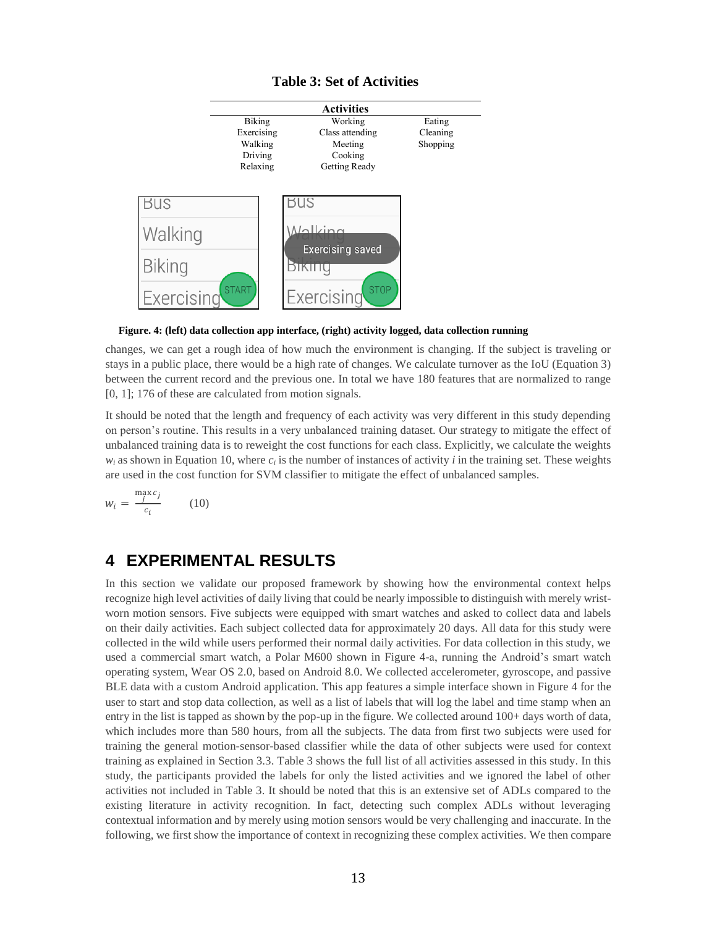### **Table 3: Set of Activities**



**Figure. 4: (left) data collection app interface, (right) activity logged, data collection running**

changes, we can get a rough idea of how much the environment is changing. If the subject is traveling or stays in a public place, there would be a high rate of changes. We calculate turnover as the IoU (Equation 3) between the current record and the previous one. In total we have 180 features that are normalized to range [0, 1]; 176 of these are calculated from motion signals.

It should be noted that the length and frequency of each activity was very different in this study depending on person's routine. This results in a very unbalanced training dataset. Our strategy to mitigate the effect of unbalanced training data is to reweight the cost functions for each class. Explicitly, we calculate the weights  $w_i$  as shown in Equation 10, where  $c_i$  is the number of instances of activity *i* in the training set. These weights are used in the cost function for SVM classifier to mitigate the effect of unbalanced samples.

$$
w_i = \frac{\max_{j} c_j}{c_i} \qquad (10)
$$

## **4 EXPERIMENTAL RESULTS**

In this section we validate our proposed framework by showing how the environmental context helps recognize high level activities of daily living that could be nearly impossible to distinguish with merely wristworn motion sensors. Five subjects were equipped with smart watches and asked to collect data and labels on their daily activities. Each subject collected data for approximately 20 days. All data for this study were collected in the wild while users performed their normal daily activities. For data collection in this study, we used a commercial smart watch, a Polar M600 shown in Figure 4-a, running the Android's smart watch operating system, Wear OS 2.0, based on Android 8.0. We collected accelerometer, gyroscope, and passive BLE data with a custom Android application. This app features a simple interface shown in Figure 4 for the user to start and stop data collection, as well as a list of labels that will log the label and time stamp when an entry in the list is tapped as shown by the pop-up in the figure. We collected around 100+ days worth of data, which includes more than 580 hours, from all the subjects. The data from first two subjects were used for training the general motion-sensor-based classifier while the data of other subjects were used for context training as explained in Section 3.3. Table 3 shows the full list of all activities assessed in this study. In this study, the participants provided the labels for only the listed activities and we ignored the label of other activities not included in Table 3. It should be noted that this is an extensive set of ADLs compared to the existing literature in activity recognition. In fact, detecting such complex ADLs without leveraging contextual information and by merely using motion sensors would be very challenging and inaccurate. In the following, we first show the importance of context in recognizing these complex activities. We then compare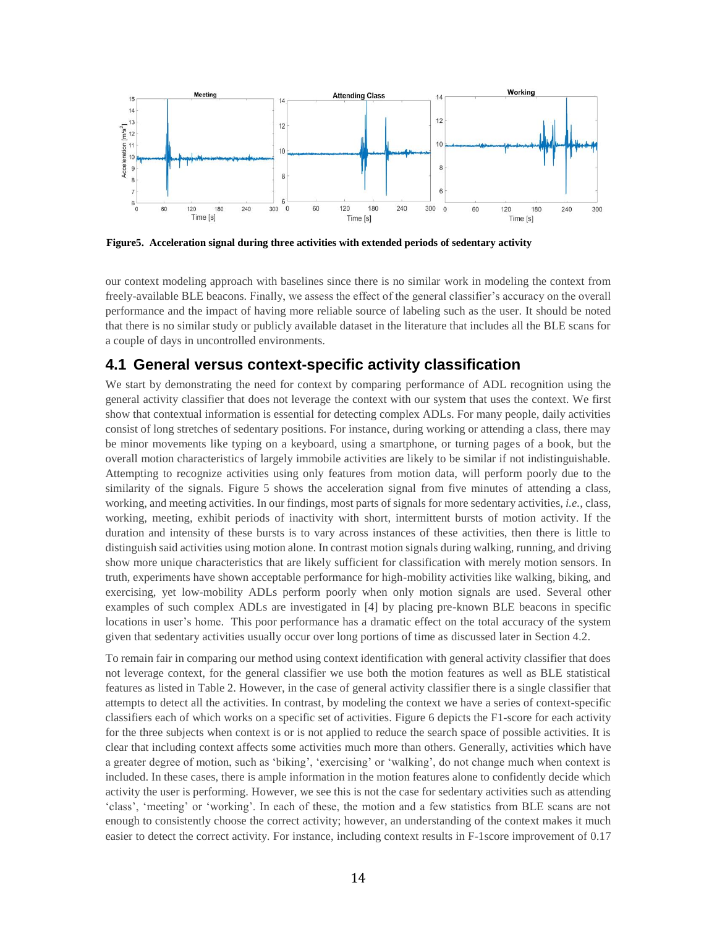

**Figure5. Acceleration signal during three activities with extended periods of sedentary activity**

our context modeling approach with baselines since there is no similar work in modeling the context from freely-available BLE beacons. Finally, we assess the effect of the general classifier's accuracy on the overall performance and the impact of having more reliable source of labeling such as the user. It should be noted that there is no similar study or publicly available dataset in the literature that includes all the BLE scans for a couple of days in uncontrolled environments.

## **4.1 General versus context-specific activity classification**

We start by demonstrating the need for context by comparing performance of ADL recognition using the general activity classifier that does not leverage the context with our system that uses the context. We first show that contextual information is essential for detecting complex ADLs. For many people, daily activities consist of long stretches of sedentary positions. For instance, during working or attending a class, there may be minor movements like typing on a keyboard, using a smartphone, or turning pages of a book, but the overall motion characteristics of largely immobile activities are likely to be similar if not indistinguishable. Attempting to recognize activities using only features from motion data, will perform poorly due to the similarity of the signals. Figure 5 shows the acceleration signal from five minutes of attending a class, working, and meeting activities. In our findings, most parts of signals for more sedentary activities, *i.e.*, class, working, meeting, exhibit periods of inactivity with short, intermittent bursts of motion activity. If the duration and intensity of these bursts is to vary across instances of these activities, then there is little to distinguish said activities using motion alone. In contrast motion signals during walking, running, and driving show more unique characteristics that are likely sufficient for classification with merely motion sensors. In truth, experiments have shown acceptable performance for high-mobility activities like walking, biking, and exercising, yet low-mobility ADLs perform poorly when only motion signals are used. Several other examples of such complex ADLs are investigated in [4] by placing pre-known BLE beacons in specific locations in user's home. This poor performance has a dramatic effect on the total accuracy of the system given that sedentary activities usually occur over long portions of time as discussed later in Section 4.2.

To remain fair in comparing our method using context identification with general activity classifier that does not leverage context, for the general classifier we use both the motion features as well as BLE statistical features as listed in Table 2. However, in the case of general activity classifier there is a single classifier that attempts to detect all the activities. In contrast, by modeling the context we have a series of context-specific classifiers each of which works on a specific set of activities. Figure 6 depicts the F1-score for each activity for the three subjects when context is or is not applied to reduce the search space of possible activities. It is clear that including context affects some activities much more than others. Generally, activities which have a greater degree of motion, such as 'biking', 'exercising' or 'walking', do not change much when context is included. In these cases, there is ample information in the motion features alone to confidently decide which activity the user is performing. However, we see this is not the case for sedentary activities such as attending 'class', 'meeting' or 'working'. In each of these, the motion and a few statistics from BLE scans are not enough to consistently choose the correct activity; however, an understanding of the context makes it much easier to detect the correct activity. For instance, including context results in F-1score improvement of 0.17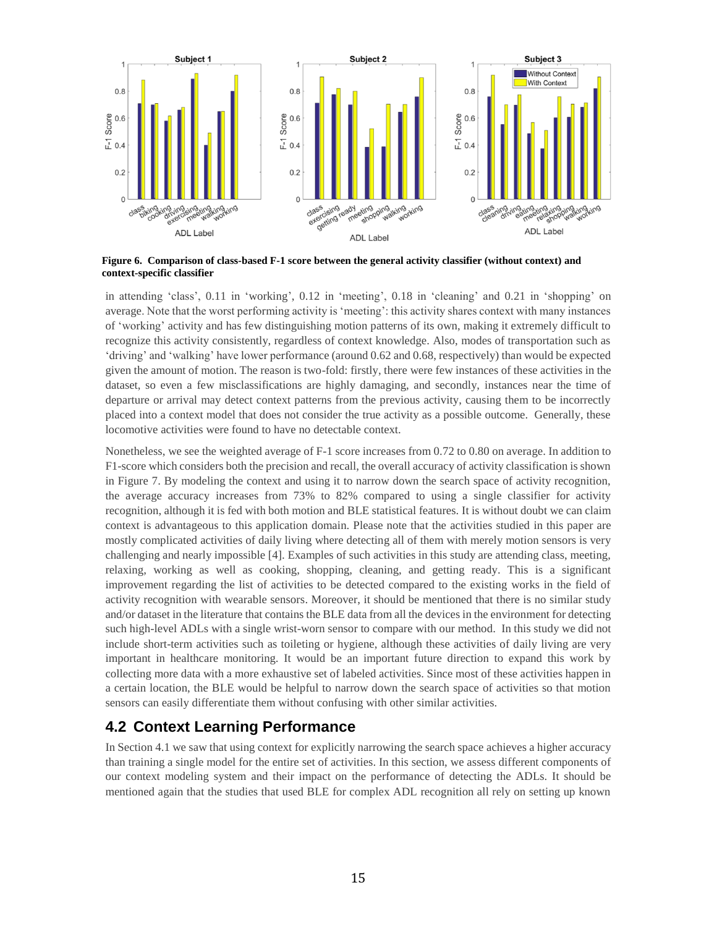

**Figure 6. Comparison of class-based F-1 score between the general activity classifier (without context) and context-specific classifier**

in attending 'class', 0.11 in 'working', 0.12 in 'meeting', 0.18 in 'cleaning' and 0.21 in 'shopping' on average. Note that the worst performing activity is 'meeting': this activity shares context with many instances of 'working' activity and has few distinguishing motion patterns of its own, making it extremely difficult to recognize this activity consistently, regardless of context knowledge. Also, modes of transportation such as 'driving' and 'walking' have lower performance (around 0.62 and 0.68, respectively) than would be expected given the amount of motion. The reason is two-fold: firstly, there were few instances of these activities in the dataset, so even a few misclassifications are highly damaging, and secondly, instances near the time of departure or arrival may detect context patterns from the previous activity, causing them to be incorrectly placed into a context model that does not consider the true activity as a possible outcome. Generally, these locomotive activities were found to have no detectable context.

Nonetheless, we see the weighted average of F-1 score increases from 0.72 to 0.80 on average. In addition to F1-score which considers both the precision and recall, the overall accuracy of activity classification is shown in Figure 7. By modeling the context and using it to narrow down the search space of activity recognition, the average accuracy increases from 73% to 82% compared to using a single classifier for activity recognition, although it is fed with both motion and BLE statistical features. It is without doubt we can claim context is advantageous to this application domain. Please note that the activities studied in this paper are mostly complicated activities of daily living where detecting all of them with merely motion sensors is very challenging and nearly impossible [4]. Examples of such activities in this study are attending class, meeting, relaxing, working as well as cooking, shopping, cleaning, and getting ready. This is a significant improvement regarding the list of activities to be detected compared to the existing works in the field of activity recognition with wearable sensors. Moreover, it should be mentioned that there is no similar study and/or dataset in the literature that contains the BLE data from all the devices in the environment for detecting such high-level ADLs with a single wrist-worn sensor to compare with our method. In this study we did not include short-term activities such as toileting or hygiene, although these activities of daily living are very important in healthcare monitoring. It would be an important future direction to expand this work by collecting more data with a more exhaustive set of labeled activities. Since most of these activities happen in a certain location, the BLE would be helpful to narrow down the search space of activities so that motion sensors can easily differentiate them without confusing with other similar activities.

## **4.2 Context Learning Performance**

In Section 4.1 we saw that using context for explicitly narrowing the search space achieves a higher accuracy than training a single model for the entire set of activities. In this section, we assess different components of our context modeling system and their impact on the performance of detecting the ADLs. It should be mentioned again that the studies that used BLE for complex ADL recognition all rely on setting up known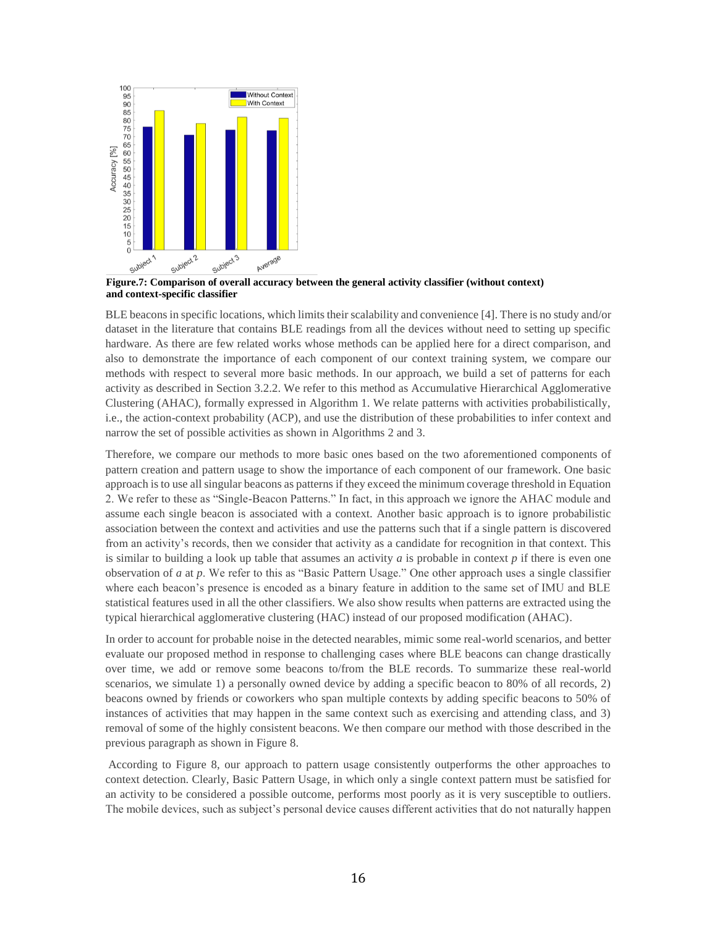

**Figure.7: Comparison of overall accuracy between the general activity classifier (without context) and context-specific classifier** 

BLE beacons in specific locations, which limits their scalability and convenience [4]. There is no study and/or dataset in the literature that contains BLE readings from all the devices without need to setting up specific hardware. As there are few related works whose methods can be applied here for a direct comparison, and also to demonstrate the importance of each component of our context training system, we compare our methods with respect to several more basic methods. In our approach, we build a set of patterns for each activity as described in Section 3.2.2. We refer to this method as Accumulative Hierarchical Agglomerative Clustering (AHAC), formally expressed in Algorithm 1. We relate patterns with activities probabilistically, i.e., the action-context probability (ACP), and use the distribution of these probabilities to infer context and narrow the set of possible activities as shown in Algorithms 2 and 3.

Therefore, we compare our methods to more basic ones based on the two aforementioned components of pattern creation and pattern usage to show the importance of each component of our framework. One basic approach is to use all singular beacons as patterns if they exceed the minimum coverage threshold in Equation 2. We refer to these as "Single-Beacon Patterns." In fact, in this approach we ignore the AHAC module and assume each single beacon is associated with a context. Another basic approach is to ignore probabilistic association between the context and activities and use the patterns such that if a single pattern is discovered from an activity's records, then we consider that activity as a candidate for recognition in that context. This is similar to building a look up table that assumes an activity *a* is probable in context *p* if there is even one observation of *a* at *p*. We refer to this as "Basic Pattern Usage." One other approach uses a single classifier where each beacon's presence is encoded as a binary feature in addition to the same set of IMU and BLE statistical features used in all the other classifiers. We also show results when patterns are extracted using the typical hierarchical agglomerative clustering (HAC) instead of our proposed modification (AHAC).

In order to account for probable noise in the detected nearables, mimic some real-world scenarios, and better evaluate our proposed method in response to challenging cases where BLE beacons can change drastically over time, we add or remove some beacons to/from the BLE records. To summarize these real-world scenarios, we simulate 1) a personally owned device by adding a specific beacon to 80% of all records, 2) beacons owned by friends or coworkers who span multiple contexts by adding specific beacons to 50% of instances of activities that may happen in the same context such as exercising and attending class, and 3) removal of some of the highly consistent beacons. We then compare our method with those described in the previous paragraph as shown in Figure 8.

According to Figure 8, our approach to pattern usage consistently outperforms the other approaches to context detection. Clearly, Basic Pattern Usage, in which only a single context pattern must be satisfied for an activity to be considered a possible outcome, performs most poorly as it is very susceptible to outliers. The mobile devices, such as subject's personal device causes different activities that do not naturally happen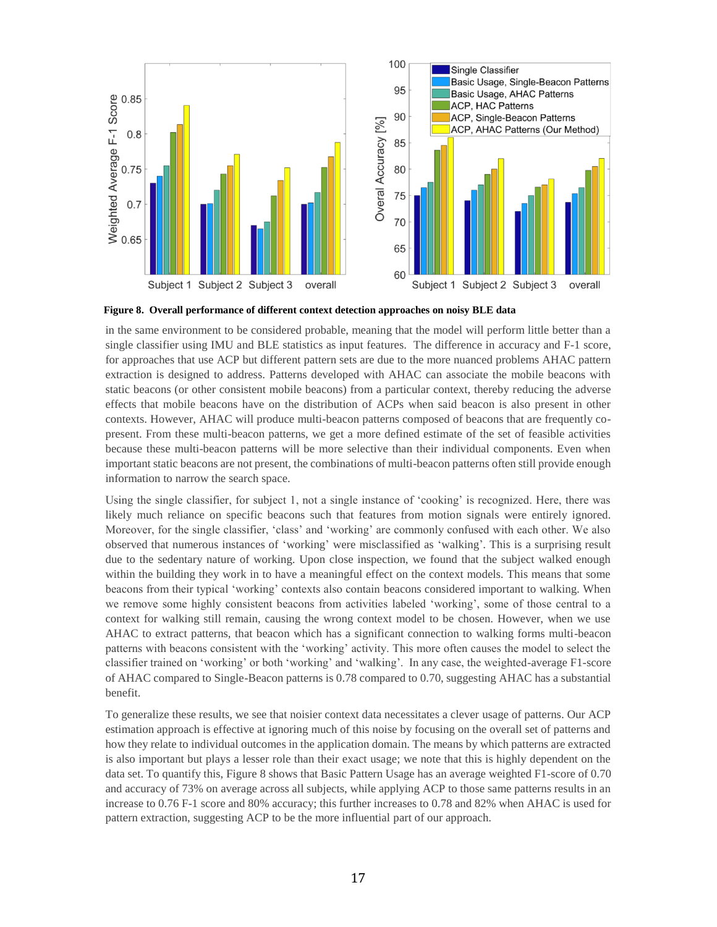

**Figure 8. Overall performance of different context detection approaches on noisy BLE data**

in the same environment to be considered probable, meaning that the model will perform little better than a single classifier using IMU and BLE statistics as input features. The difference in accuracy and F-1 score, for approaches that use ACP but different pattern sets are due to the more nuanced problems AHAC pattern extraction is designed to address. Patterns developed with AHAC can associate the mobile beacons with static beacons (or other consistent mobile beacons) from a particular context, thereby reducing the adverse effects that mobile beacons have on the distribution of ACPs when said beacon is also present in other contexts. However, AHAC will produce multi-beacon patterns composed of beacons that are frequently copresent. From these multi-beacon patterns, we get a more defined estimate of the set of feasible activities because these multi-beacon patterns will be more selective than their individual components. Even when important static beacons are not present, the combinations of multi-beacon patterns often still provide enough information to narrow the search space.

Using the single classifier, for subject 1, not a single instance of 'cooking' is recognized. Here, there was likely much reliance on specific beacons such that features from motion signals were entirely ignored. Moreover, for the single classifier, 'class' and 'working' are commonly confused with each other. We also observed that numerous instances of 'working' were misclassified as 'walking'. This is a surprising result due to the sedentary nature of working. Upon close inspection, we found that the subject walked enough within the building they work in to have a meaningful effect on the context models. This means that some beacons from their typical 'working' contexts also contain beacons considered important to walking. When we remove some highly consistent beacons from activities labeled 'working', some of those central to a context for walking still remain, causing the wrong context model to be chosen. However, when we use AHAC to extract patterns, that beacon which has a significant connection to walking forms multi-beacon patterns with beacons consistent with the 'working' activity. This more often causes the model to select the classifier trained on 'working' or both 'working' and 'walking'. In any case, the weighted-average F1-score of AHAC compared to Single-Beacon patterns is 0.78 compared to 0.70, suggesting AHAC has a substantial benefit.

To generalize these results, we see that noisier context data necessitates a clever usage of patterns. Our ACP estimation approach is effective at ignoring much of this noise by focusing on the overall set of patterns and how they relate to individual outcomes in the application domain. The means by which patterns are extracted is also important but plays a lesser role than their exact usage; we note that this is highly dependent on the data set. To quantify this, Figure 8 shows that Basic Pattern Usage has an average weighted F1-score of 0.70 and accuracy of 73% on average across all subjects, while applying ACP to those same patterns results in an increase to 0.76 F-1 score and 80% accuracy; this further increases to 0.78 and 82% when AHAC is used for pattern extraction, suggesting ACP to be the more influential part of our approach.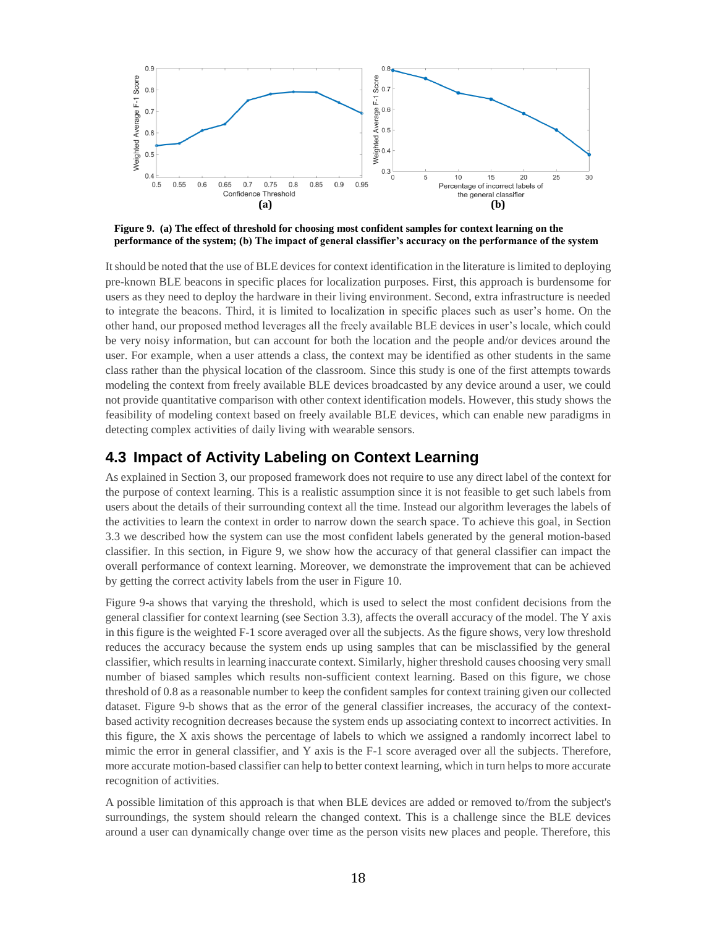

**Figure 9. (a) The effect of threshold for choosing most confident samples for context learning on the performance of the system; (b) The impact of general classifier's accuracy on the performance of the system**

It should be noted that the use of BLE devices for context identification in the literature is limited to deploying pre-known BLE beacons in specific places for localization purposes. First, this approach is burdensome for users as they need to deploy the hardware in their living environment. Second, extra infrastructure is needed to integrate the beacons. Third, it is limited to localization in specific places such as user's home. On the other hand, our proposed method leverages all the freely available BLE devices in user's locale, which could be very noisy information, but can account for both the location and the people and/or devices around the user. For example, when a user attends a class, the context may be identified as other students in the same class rather than the physical location of the classroom. Since this study is one of the first attempts towards modeling the context from freely available BLE devices broadcasted by any device around a user, we could not provide quantitative comparison with other context identification models. However, this study shows the feasibility of modeling context based on freely available BLE devices, which can enable new paradigms in detecting complex activities of daily living with wearable sensors.

## **4.3 Impact of Activity Labeling on Context Learning**

As explained in Section 3, our proposed framework does not require to use any direct label of the context for the purpose of context learning. This is a realistic assumption since it is not feasible to get such labels from users about the details of their surrounding context all the time. Instead our algorithm leverages the labels of the activities to learn the context in order to narrow down the search space. To achieve this goal, in Section 3.3 we described how the system can use the most confident labels generated by the general motion-based classifier. In this section, in Figure 9, we show how the accuracy of that general classifier can impact the overall performance of context learning. Moreover, we demonstrate the improvement that can be achieved by getting the correct activity labels from the user in Figure 10.

Figure 9-a shows that varying the threshold, which is used to select the most confident decisions from the general classifier for context learning (see Section 3.3), affects the overall accuracy of the model. The Y axis in this figure is the weighted F-1 score averaged over all the subjects. As the figure shows, very low threshold reduces the accuracy because the system ends up using samples that can be misclassified by the general classifier, which results in learning inaccurate context. Similarly, higher threshold causes choosing very small number of biased samples which results non-sufficient context learning. Based on this figure, we chose threshold of 0.8 as a reasonable number to keep the confident samples for context training given our collected dataset. Figure 9-b shows that as the error of the general classifier increases, the accuracy of the contextbased activity recognition decreases because the system ends up associating context to incorrect activities. In this figure, the X axis shows the percentage of labels to which we assigned a randomly incorrect label to mimic the error in general classifier, and Y axis is the F-1 score averaged over all the subjects. Therefore, more accurate motion-based classifier can help to better context learning, which in turn helps to more accurate recognition of activities.

A possible limitation of this approach is that when BLE devices are added or removed to/from the subject's surroundings, the system should relearn the changed context. This is a challenge since the BLE devices around a user can dynamically change over time as the person visits new places and people. Therefore, this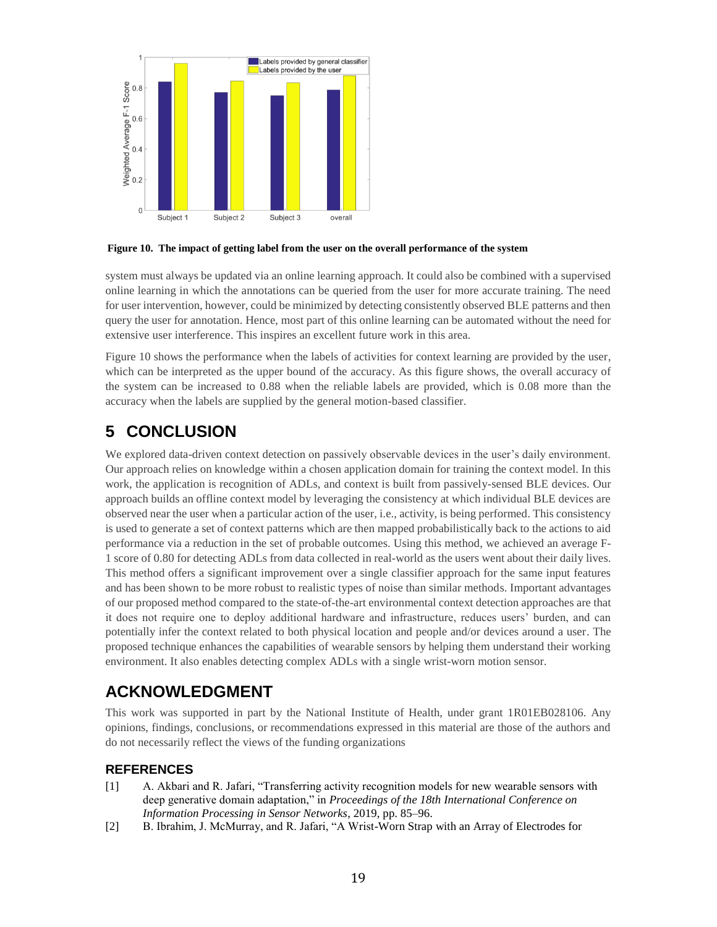

### **Figure 10. The impact of getting label from the user on the overall performance of the system**

system must always be updated via an online learning approach. It could also be combined with a supervised online learning in which the annotations can be queried from the user for more accurate training. The need for user intervention, however, could be minimized by detecting consistently observed BLE patterns and then query the user for annotation. Hence, most part of this online learning can be automated without the need for extensive user interference. This inspires an excellent future work in this area.

Figure 10 shows the performance when the labels of activities for context learning are provided by the user, which can be interpreted as the upper bound of the accuracy. As this figure shows, the overall accuracy of the system can be increased to 0.88 when the reliable labels are provided, which is 0.08 more than the accuracy when the labels are supplied by the general motion-based classifier.

## **5 CONCLUSION**

We explored data-driven context detection on passively observable devices in the user's daily environment. Our approach relies on knowledge within a chosen application domain for training the context model. In this work, the application is recognition of ADLs, and context is built from passively-sensed BLE devices. Our approach builds an offline context model by leveraging the consistency at which individual BLE devices are observed near the user when a particular action of the user, i.e., activity, is being performed. This consistency is used to generate a set of context patterns which are then mapped probabilistically back to the actions to aid performance via a reduction in the set of probable outcomes. Using this method, we achieved an average F-1 score of 0.80 for detecting ADLs from data collected in real-world as the users went about their daily lives. This method offers a significant improvement over a single classifier approach for the same input features and has been shown to be more robust to realistic types of noise than similar methods. Important advantages of our proposed method compared to the state-of-the-art environmental context detection approaches are that it does not require one to deploy additional hardware and infrastructure, reduces users' burden, and can potentially infer the context related to both physical location and people and/or devices around a user. The proposed technique enhances the capabilities of wearable sensors by helping them understand their working environment. It also enables detecting complex ADLs with a single wrist-worn motion sensor.

## **ACKNOWLEDGMENT**

This work was supported in part by the National Institute of Health, under grant 1R01EB028106. Any opinions, findings, conclusions, or recommendations expressed in this material are those of the authors and do not necessarily reflect the views of the funding organizations

### **REFERENCES**

- [1] A. Akbari and R. Jafari, "Transferring activity recognition models for new wearable sensors with deep generative domain adaptation," in *Proceedings of the 18th International Conference on Information Processing in Sensor Networks*, 2019, pp. 85–96.
- [2] B. Ibrahim, J. McMurray, and R. Jafari, "A Wrist-Worn Strap with an Array of Electrodes for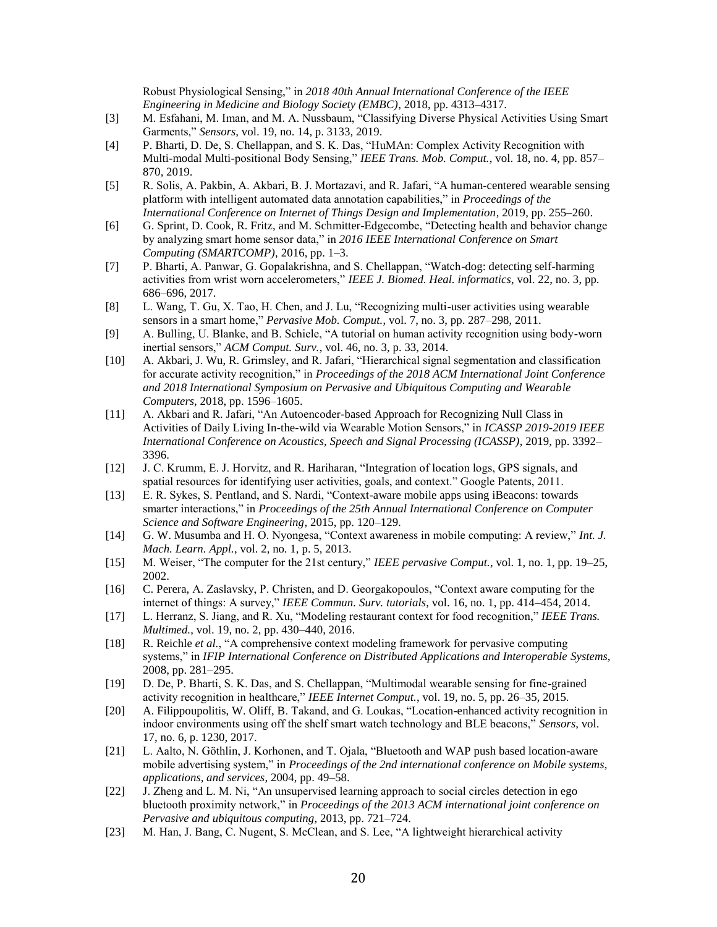Robust Physiological Sensing," in *2018 40th Annual International Conference of the IEEE Engineering in Medicine and Biology Society (EMBC)*, 2018, pp. 4313–4317.

- [3] M. Esfahani, M. Iman, and M. A. Nussbaum, "Classifying Diverse Physical Activities Using Smart Garments," *Sensors*, vol. 19, no. 14, p. 3133, 2019.
- [4] P. Bharti, D. De, S. Chellappan, and S. K. Das, "HuMAn: Complex Activity Recognition with Multi-modal Multi-positional Body Sensing," *IEEE Trans. Mob. Comput.*, vol. 18, no. 4, pp. 857– 870, 2019.
- [5] R. Solis, A. Pakbin, A. Akbari, B. J. Mortazavi, and R. Jafari, "A human-centered wearable sensing platform with intelligent automated data annotation capabilities," in *Proceedings of the International Conference on Internet of Things Design and Implementation*, 2019, pp. 255–260.
- [6] G. Sprint, D. Cook, R. Fritz, and M. Schmitter-Edgecombe, "Detecting health and behavior change by analyzing smart home sensor data," in *2016 IEEE International Conference on Smart Computing (SMARTCOMP)*, 2016, pp. 1–3.
- [7] P. Bharti, A. Panwar, G. Gopalakrishna, and S. Chellappan, "Watch-dog: detecting self-harming activities from wrist worn accelerometers," *IEEE J. Biomed. Heal. informatics*, vol. 22, no. 3, pp. 686–696, 2017.
- [8] L. Wang, T. Gu, X. Tao, H. Chen, and J. Lu, "Recognizing multi-user activities using wearable sensors in a smart home," *Pervasive Mob. Comput.*, vol. 7, no. 3, pp. 287–298, 2011.
- [9] A. Bulling, U. Blanke, and B. Schiele, "A tutorial on human activity recognition using body-worn inertial sensors," *ACM Comput. Surv.*, vol. 46, no. 3, p. 33, 2014.
- [10] A. Akbari, J. Wu, R. Grimsley, and R. Jafari, "Hierarchical signal segmentation and classification for accurate activity recognition," in *Proceedings of the 2018 ACM International Joint Conference and 2018 International Symposium on Pervasive and Ubiquitous Computing and Wearable Computers*, 2018, pp. 1596–1605.
- [11] A. Akbari and R. Jafari, "An Autoencoder-based Approach for Recognizing Null Class in Activities of Daily Living In-the-wild via Wearable Motion Sensors," in *ICASSP 2019-2019 IEEE International Conference on Acoustics, Speech and Signal Processing (ICASSP)*, 2019, pp. 3392– 3396.
- [12] J. C. Krumm, E. J. Horvitz, and R. Hariharan, "Integration of location logs, GPS signals, and spatial resources for identifying user activities, goals, and context." Google Patents, 2011.
- [13] E. R. Sykes, S. Pentland, and S. Nardi, "Context-aware mobile apps using iBeacons: towards smarter interactions," in *Proceedings of the 25th Annual International Conference on Computer Science and Software Engineering*, 2015, pp. 120–129.
- [14] G. W. Musumba and H. O. Nyongesa, "Context awareness in mobile computing: A review," *Int. J. Mach. Learn. Appl.*, vol. 2, no. 1, p. 5, 2013.
- [15] M. Weiser, "The computer for the 21st century," *IEEE pervasive Comput.*, vol. 1, no. 1, pp. 19–25, 2002.
- [16] C. Perera, A. Zaslavsky, P. Christen, and D. Georgakopoulos, "Context aware computing for the internet of things: A survey," *IEEE Commun. Surv. tutorials*, vol. 16, no. 1, pp. 414–454, 2014.
- [17] L. Herranz, S. Jiang, and R. Xu, "Modeling restaurant context for food recognition," *IEEE Trans. Multimed.*, vol. 19, no. 2, pp. 430–440, 2016.
- [18] R. Reichle *et al.*, "A comprehensive context modeling framework for pervasive computing systems," in *IFIP International Conference on Distributed Applications and Interoperable Systems*, 2008, pp. 281–295.
- [19] D. De, P. Bharti, S. K. Das, and S. Chellappan, "Multimodal wearable sensing for fine-grained activity recognition in healthcare," *IEEE Internet Comput.*, vol. 19, no. 5, pp. 26–35, 2015.
- [20] A. Filippoupolitis, W. Oliff, B. Takand, and G. Loukas, "Location-enhanced activity recognition in indoor environments using off the shelf smart watch technology and BLE beacons," *Sensors*, vol. 17, no. 6, p. 1230, 2017.
- [21] L. Aalto, N. Göthlin, J. Korhonen, and T. Ojala, "Bluetooth and WAP push based location-aware mobile advertising system," in *Proceedings of the 2nd international conference on Mobile systems, applications, and services*, 2004, pp. 49–58.
- [22] J. Zheng and L. M. Ni, "An unsupervised learning approach to social circles detection in ego bluetooth proximity network," in *Proceedings of the 2013 ACM international joint conference on Pervasive and ubiquitous computing*, 2013, pp. 721–724.
- [23] M. Han, J. Bang, C. Nugent, S. McClean, and S. Lee, "A lightweight hierarchical activity